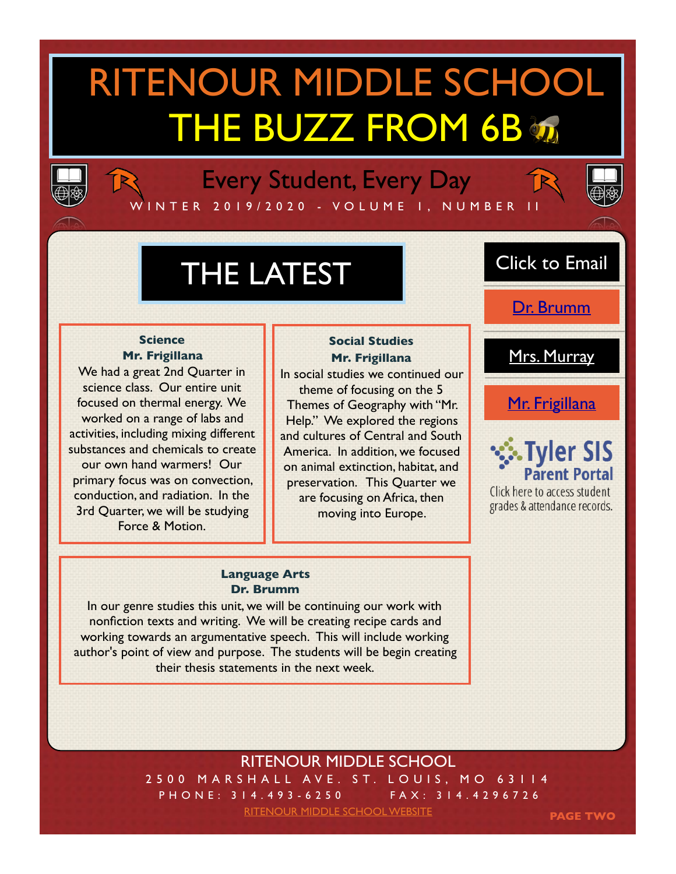# RITENOUR MIDDLE SCHOOL THE BUZZ FROM 6B



## Every Student, Every Day

W I N T E R 2 0 1 9 / 2 0 2 0 - VO L U M E 1 , N U M B E R I I



# THE LATEST

#### **Science Mr. Frigillana**

We had a great 2nd Quarter in science class. Our entire unit focused on thermal energy. We worked on a range of labs and activities, including mixing different substances and chemicals to create our own hand warmers! Our primary focus was on convection, conduction, and radiation. In the 3rd Quarter, we will be studying Force & Motion.

#### **Social Studies Mr. Frigillana**

In social studies we continued our theme of focusing on the 5 Themes of Geography with "Mr. Help." We explored the regions and cultures of Central and South America. In addition, we focused on animal extinction, habitat, and preservation. This Quarter we are focusing on Africa, then moving into Europe.

#### **Language Arts Dr. Brumm**

In our genre studies this unit, we will be continuing our work with nonfiction texts and writing. We will be creating recipe cards and working towards an argumentative speech. This will include working author's point of view and purpose. The students will be begin creating their thesis statements in the next week.

### Click to Email

[Dr. Brumm](mailto:brummc@ritenourschools.org)

[Mrs. Murray](mailto:murrayt@ritenourschools.org)

[Mr. Frigillana](mailto:frigillanat@ritenourschools.org)



Click here to access student grades & attendance records.

### RITENOUR MIDDLE SCHOOL

2500 MARSHALL AVE. ST. LOUIS, MO 63114 PHONE: 314.493-6250 FAX: 314.4296726

[RITENOUR MIDDLE SCHOOL WEBSITE](https://www.ritenour.k12.mo.us/Domain/15)

**PAGE TWO**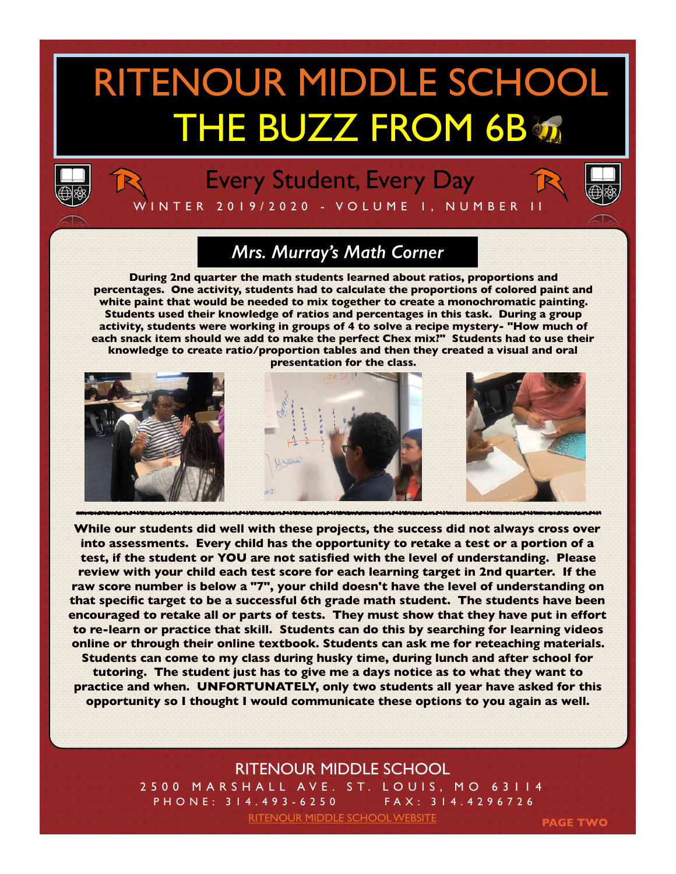### RITENOUR MIDDLE SCHOOL THE BUZZ FROM 6B T



### Every Student, Every Day



W I N T E R 2 0 1 9 / 2 0 2 0 - VO L U M E 1 , N U M B E R I I

### *Mrs. Murray's Math Corner*

**During 2nd quarter the math students learned about ratios, proportions and percentages. One activity, students had to calculate the proportions of colored paint and white paint that would be needed to mix together to create a monochromatic painting. Students used their knowledge of ratios and percentages in this task. During a group activity, students were working in groups of 4 to solve a recipe mystery- "How much of each snack item should we add to make the perfect Chex mix?" Students had to use their knowledge to create ratio/proportion tables and then they created a visual and oral** 

**presentation for the class.**



**While our students did well with these projects, the success did not always cross over into assessments. Every child has the opportunity to retake a test or a portion of a test, if the student or YOU are not satisfied with the level of understanding. Please review with your child each test score for each learning target in 2nd quarter. If the raw score number is below a "7", your child doesn't have the level of understanding on that specific target to be a successful 6th grade math student. The students have been encouraged to retake all or parts of tests. They must show that they have put in effort to re-learn or practice that skill. Students can do this by searching for learning videos online or through their online textbook. Students can ask me for reteaching materials. Students can come to my class during husky time, during lunch and after school for tutoring. The student just has to give me a days notice as to what they want to practice and when. UNFORTUNATELY, only two students all year have asked for this opportunity so I thought I would communicate these options to you again as well.**

#### RITENOUR MIDDLE SCHOOL

2500 MARSHALL AVE. ST. LOUIS, MO 63114 PHONE: 314.493-6250 FAX: 314.4296726